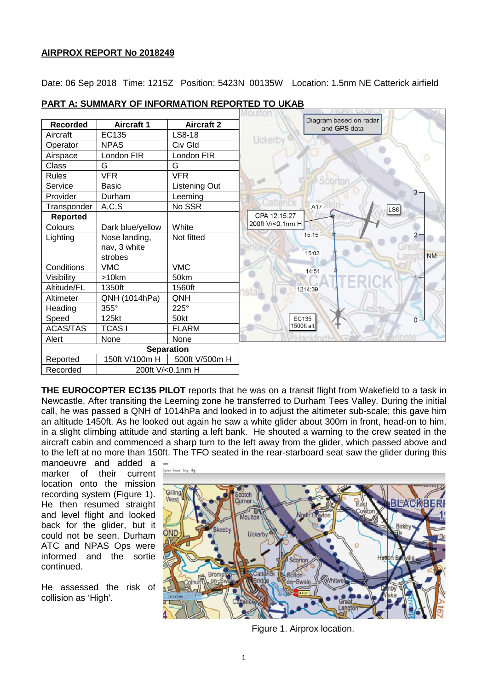## **AIRPROX REPORT No 2018249**

Date: 06 Sep 2018 Time: 1215Z Position: 5423N 00135W Location: 1.5nm NE Catterick airfield

|                   |                   |                   | Moultor                                |
|-------------------|-------------------|-------------------|----------------------------------------|
| <b>Recorded</b>   | <b>Aircraft 1</b> | <b>Aircraft 2</b> | Diagram based on radar<br>and GPS data |
| Aircraft          | EC135             | LS8-18            | Uckerby                                |
| Operator          | <b>NPAS</b>       | Civ Gld           |                                        |
| Airspace          | London FIR        | London FIR        |                                        |
| Class             | G                 | G                 |                                        |
| <b>Rules</b>      | <b>VFR</b>        | <b>VFR</b>        | Scortor                                |
| Service           | <b>Basic</b>      | Listening Out     | $3 -$                                  |
| Provider          | Durham            | Leeming           |                                        |
| Transponder       | A, C, S           | No SSR            | Catterick<br>A17<br>LS8                |
| <b>Reported</b>   |                   |                   | CPA 12:15:27                           |
| Colours           | Dark blue/yellow  | White             | 200ft V/<0.1nm H                       |
| Lighting          | Nose landing,     | Not fitted        | 15:15                                  |
|                   | nav, 3 white      |                   | 15:03                                  |
|                   | strobes           |                   | <b>NM</b>                              |
| Conditions        | <b>VMC</b>        | <b>VMC</b>        | 14:51                                  |
| Visibility        | >10km             | 50km              |                                        |
| Altitude/FL       | 1350ft            | 1560ft            | 1214:39                                |
| Altimeter         | QNH (1014hPa)     | QNH               |                                        |
| Heading           | 355°              | 225°              |                                        |
| Speed             | 125kt             | 50kt              | EC135<br>$0 -$                         |
| <b>ACAS/TAS</b>   | <b>TCASI</b>      | <b>FLARM</b>      | 1500ft alt                             |
| Alert             | None              | None              | Hackforth                              |
| <b>Separation</b> |                   |                   |                                        |
| Reported          | 150ft V/100m H    | 500ft V/500m H    |                                        |
| Recorded          | 200ft V/<0.1nm H  |                   |                                        |

## **PART A: SUMMARY OF INFORMATION REPORTED TO UKAB**

**THE EUROCOPTER EC135 PILOT** reports that he was on a transit flight from Wakefield to a task in Newcastle. After transiting the Leeming zone he transferred to Durham Tees Valley. During the initial call, he was passed a QNH of 1014hPa and looked in to adjust the altimeter sub-scale; this gave him an altitude 1450ft. As he looked out again he saw a white glider about 300m in front, head-on to him, in a slight climbing attitude and starting a left bank. He shouted a warning to the crew seated in the aircraft cabin and commenced a sharp turn to the left away from the glider, which passed above and to the left at no more than 150ft. The TFO seated in the rear-starboard seat saw the glider during this

manoeuvre and added a marker of their current location onto the mission recording system (Figure 1). He then resumed straight and level flight and looked back for the glider, but it could not be seen. Durham ATC and NPAS Ops were informed and the sortie continued.

He assessed the risk of collision as 'High'.



Figure 1. Airprox location.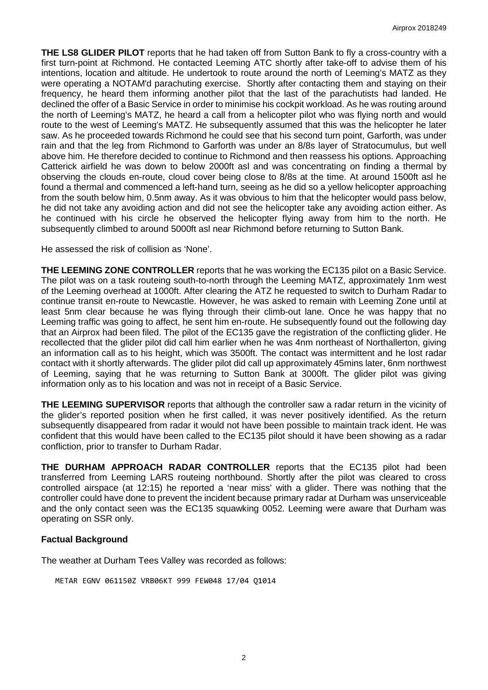**THE LS8 GLIDER PILOT** reports that he had taken off from Sutton Bank to fly a cross-country with a first turn-point at Richmond. He contacted Leeming ATC shortly after take-off to advise them of his intentions, location and altitude. He undertook to route around the north of Leeming's MATZ as they were operating a NOTAM'd parachuting exercise. Shortly after contacting them and staying on their frequency, he heard them informing another pilot that the last of the parachutists had landed. He declined the offer of a Basic Service in order to minimise his cockpit workload. As he was routing around the north of Leeming's MATZ, he heard a call from a helicopter pilot who was flying north and would route to the west of Leeming's MATZ. He subsequently assumed that this was the helicopter he later saw. As he proceeded towards Richmond he could see that his second turn point, Garforth, was under rain and that the leg from Richmond to Garforth was under an 8/8s layer of Stratocumulus, but well above him. He therefore decided to continue to Richmond and then reassess his options. Approaching Catterick airfield he was down to below 2000ft asl and was concentrating on finding a thermal by observing the clouds en-route, cloud cover being close to 8/8s at the time. At around 1500ft asl he found a thermal and commenced a left-hand turn, seeing as he did so a yellow helicopter approaching from the south below him, 0.5nm away. As it was obvious to him that the helicopter would pass below, he did not take any avoiding action and did not see the helicopter take any avoiding action either. As he continued with his circle he observed the helicopter flying away from him to the north. He subsequently climbed to around 5000ft asl near Richmond before returning to Sutton Bank.

He assessed the risk of collision as 'None'.

**THE LEEMING ZONE CONTROLLER** reports that he was working the EC135 pilot on a Basic Service. The pilot was on a task routeing south-to-north through the Leeming MATZ, approximately 1nm west of the Leeming overhead at 1000ft. After clearing the ATZ he requested to switch to Durham Radar to continue transit en-route to Newcastle. However, he was asked to remain with Leeming Zone until at least 5nm clear because he was flying through their climb-out lane. Once he was happy that no Leeming traffic was going to affect, he sent him en-route. He subsequently found out the following day that an Airprox had been filed. The pilot of the EC135 gave the registration of the conflicting glider. He recollected that the glider pilot did call him earlier when he was 4nm northeast of Northallerton, giving an information call as to his height, which was 3500ft. The contact was intermittent and he lost radar contact with it shortly afterwards. The glider pilot did call up approximately 45mins later, 6nm northwest of Leeming, saying that he was returning to Sutton Bank at 3000ft. The glider pilot was giving information only as to his location and was not in receipt of a Basic Service.

**THE LEEMING SUPERVISOR** reports that although the controller saw a radar return in the vicinity of the glider's reported position when he first called, it was never positively identified. As the return subsequently disappeared from radar it would not have been possible to maintain track ident. He was confident that this would have been called to the EC135 pilot should it have been showing as a radar confliction, prior to transfer to Durham Radar.

**THE DURHAM APPROACH RADAR CONTROLLER** reports that the EC135 pilot had been transferred from Leeming LARS routeing northbound. Shortly after the pilot was cleared to cross controlled airspace (at 12:15) he reported a 'near miss' with a glider. There was nothing that the controller could have done to prevent the incident because primary radar at Durham was unserviceable and the only contact seen was the EC135 squawking 0052. Leeming were aware that Durham was operating on SSR only.

#### **Factual Background**

The weather at Durham Tees Valley was recorded as follows:

METAR EGNV 061150Z VRB06KT 999 FEW048 17/04 Q1014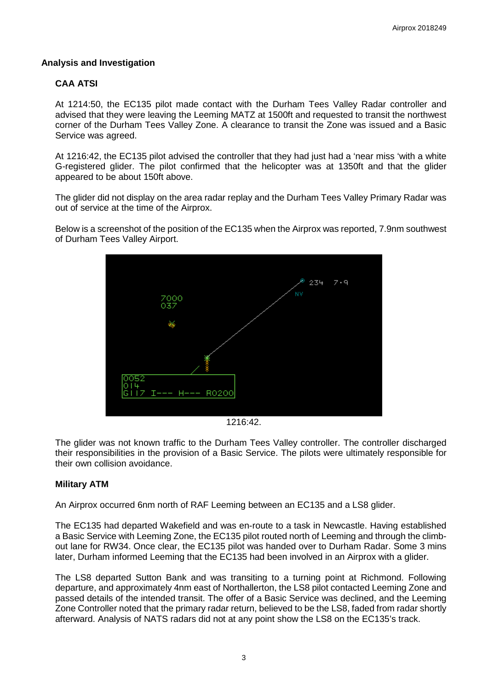## **Analysis and Investigation**

# **CAA ATSI**

At 1214:50, the EC135 pilot made contact with the Durham Tees Valley Radar controller and advised that they were leaving the Leeming MATZ at 1500ft and requested to transit the northwest corner of the Durham Tees Valley Zone. A clearance to transit the Zone was issued and a Basic Service was agreed.

At 1216:42, the EC135 pilot advised the controller that they had just had a 'near miss 'with a white G-registered glider. The pilot confirmed that the helicopter was at 1350ft and that the glider appeared to be about 150ft above.

The glider did not display on the area radar replay and the Durham Tees Valley Primary Radar was out of service at the time of the Airprox.

Below is a screenshot of the position of the EC135 when the Airprox was reported, 7.9nm southwest of Durham Tees Valley Airport.



1216:42.

The glider was not known traffic to the Durham Tees Valley controller. The controller discharged their responsibilities in the provision of a Basic Service. The pilots were ultimately responsible for their own collision avoidance.

#### **Military ATM**

An Airprox occurred 6nm north of RAF Leeming between an EC135 and a LS8 glider.

The EC135 had departed Wakefield and was en-route to a task in Newcastle. Having established a Basic Service with Leeming Zone, the EC135 pilot routed north of Leeming and through the climbout lane for RW34. Once clear, the EC135 pilot was handed over to Durham Radar. Some 3 mins later, Durham informed Leeming that the EC135 had been involved in an Airprox with a glider.

The LS8 departed Sutton Bank and was transiting to a turning point at Richmond. Following departure, and approximately 4nm east of Northallerton, the LS8 pilot contacted Leeming Zone and passed details of the intended transit. The offer of a Basic Service was declined, and the Leeming Zone Controller noted that the primary radar return, believed to be the LS8, faded from radar shortly afterward. Analysis of NATS radars did not at any point show the LS8 on the EC135's track.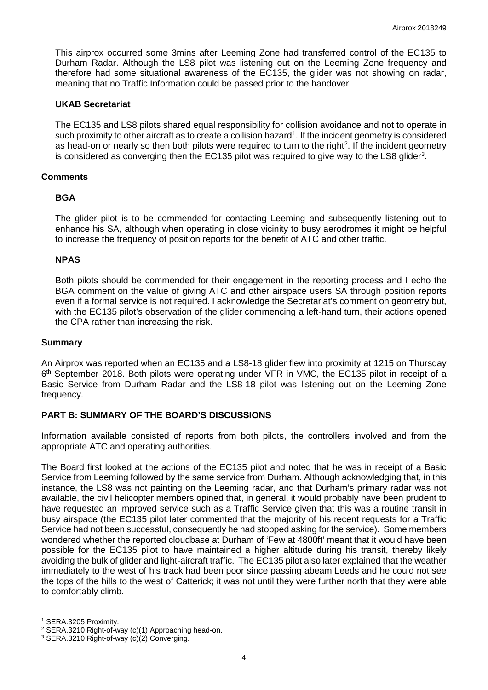This airprox occurred some 3mins after Leeming Zone had transferred control of the EC135 to Durham Radar. Although the LS8 pilot was listening out on the Leeming Zone frequency and therefore had some situational awareness of the EC135, the glider was not showing on radar, meaning that no Traffic Information could be passed prior to the handover.

#### **UKAB Secretariat**

The EC135 and LS8 pilots shared equal responsibility for collision avoidance and not to operate in such proximity to other aircraft as to create a collision hazard<sup>[1](#page-3-0)</sup>. If the incident geometry is considered as head-on or nearly so then both pilots were required to turn to the right<sup>2</sup>. If the incident geometry is considered as converging then the EC1[3](#page-3-2)5 pilot was required to give way to the LS8 glider<sup>3</sup>.

#### **Comments**

## **BGA**

The glider pilot is to be commended for contacting Leeming and subsequently listening out to enhance his SA, although when operating in close vicinity to busy aerodromes it might be helpful to increase the frequency of position reports for the benefit of ATC and other traffic.

## **NPAS**

Both pilots should be commended for their engagement in the reporting process and I echo the BGA comment on the value of giving ATC and other airspace users SA through position reports even if a formal service is not required. I acknowledge the Secretariat's comment on geometry but, with the EC135 pilot's observation of the glider commencing a left-hand turn, their actions opened the CPA rather than increasing the risk.

#### **Summary**

An Airprox was reported when an EC135 and a LS8-18 glider flew into proximity at 1215 on Thursday 6<sup>th</sup> September 2018. Both pilots were operating under VFR in VMC, the EC135 pilot in receipt of a Basic Service from Durham Radar and the LS8-18 pilot was listening out on the Leeming Zone frequency.

# **PART B: SUMMARY OF THE BOARD'S DISCUSSIONS**

Information available consisted of reports from both pilots, the controllers involved and from the appropriate ATC and operating authorities.

The Board first looked at the actions of the EC135 pilot and noted that he was in receipt of a Basic Service from Leeming followed by the same service from Durham. Although acknowledging that, in this instance, the LS8 was not painting on the Leeming radar, and that Durham's primary radar was not available, the civil helicopter members opined that, in general, it would probably have been prudent to have requested an improved service such as a Traffic Service given that this was a routine transit in busy airspace (the EC135 pilot later commented that the majority of his recent requests for a Traffic Service had not been successful, consequently he had stopped asking for the service). Some members wondered whether the reported cloudbase at Durham of 'Few at 4800ft' meant that it would have been possible for the EC135 pilot to have maintained a higher altitude during his transit, thereby likely avoiding the bulk of glider and light-aircraft traffic. The EC135 pilot also later explained that the weather immediately to the west of his track had been poor since passing abeam Leeds and he could not see the tops of the hills to the west of Catterick; it was not until they were further north that they were able to comfortably climb.

 $\overline{\phantom{a}}$ 

<span id="page-3-0"></span><sup>1</sup> SERA.3205 Proximity.

<span id="page-3-1"></span><sup>2</sup> SERA.3210 Right-of-way (c)(1) Approaching head-on.

<span id="page-3-2"></span><sup>3</sup> SERA.3210 Right-of-way (c)(2) Converging.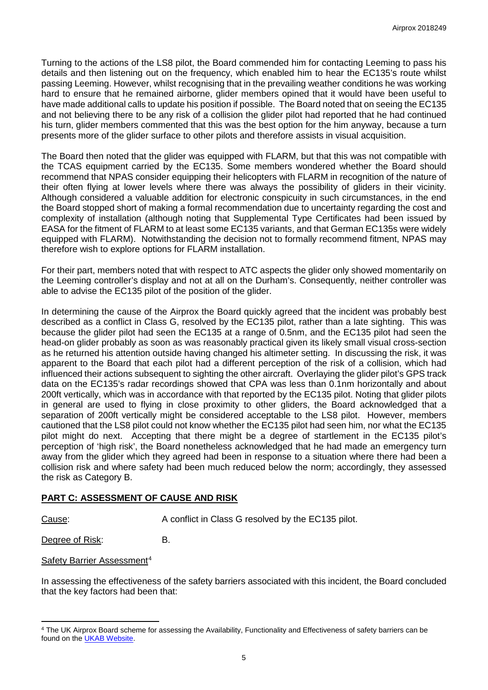Turning to the actions of the LS8 pilot, the Board commended him for contacting Leeming to pass his details and then listening out on the frequency, which enabled him to hear the EC135's route whilst passing Leeming. However, whilst recognising that in the prevailing weather conditions he was working hard to ensure that he remained airborne, glider members opined that it would have been useful to have made additional calls to update his position if possible. The Board noted that on seeing the EC135 and not believing there to be any risk of a collision the glider pilot had reported that he had continued his turn, glider members commented that this was the best option for the him anyway, because a turn presents more of the glider surface to other pilots and therefore assists in visual acquisition.

The Board then noted that the glider was equipped with FLARM, but that this was not compatible with the TCAS equipment carried by the EC135. Some members wondered whether the Board should recommend that NPAS consider equipping their helicopters with FLARM in recognition of the nature of their often flying at lower levels where there was always the possibility of gliders in their vicinity. Although considered a valuable addition for electronic conspicuity in such circumstances, in the end the Board stopped short of making a formal recommendation due to uncertainty regarding the cost and complexity of installation (although noting that Supplemental Type Certificates had been issued by EASA for the fitment of FLARM to at least some EC135 variants, and that German EC135s were widely equipped with FLARM). Notwithstanding the decision not to formally recommend fitment, NPAS may therefore wish to explore options for FLARM installation.

For their part, members noted that with respect to ATC aspects the glider only showed momentarily on the Leeming controller's display and not at all on the Durham's. Consequently, neither controller was able to advise the EC135 pilot of the position of the glider.

In determining the cause of the Airprox the Board quickly agreed that the incident was probably best described as a conflict in Class G, resolved by the EC135 pilot, rather than a late sighting. This was because the glider pilot had seen the EC135 at a range of 0.5nm, and the EC135 pilot had seen the head-on glider probably as soon as was reasonably practical given its likely small visual cross-section as he returned his attention outside having changed his altimeter setting. In discussing the risk, it was apparent to the Board that each pilot had a different perception of the risk of a collision, which had influenced their actions subsequent to sighting the other aircraft. Overlaying the glider pilot's GPS track data on the EC135's radar recordings showed that CPA was less than 0.1nm horizontally and about 200ft vertically, which was in accordance with that reported by the EC135 pilot. Noting that glider pilots in general are used to flying in close proximity to other gliders, the Board acknowledged that a separation of 200ft vertically might be considered acceptable to the LS8 pilot. However, members cautioned that the LS8 pilot could not know whether the EC135 pilot had seen him, nor what the EC135 pilot might do next. Accepting that there might be a degree of startlement in the EC135 pilot's perception of 'high risk', the Board nonetheless acknowledged that he had made an emergency turn away from the glider which they agreed had been in response to a situation where there had been a collision risk and where safety had been much reduced below the norm; accordingly, they assessed the risk as Category B.

# **PART C: ASSESSMENT OF CAUSE AND RISK**

l

Cause: A conflict in Class G resolved by the EC135 pilot.

Degree of Risk: B.

Safety Barrier Assessment<sup>[4](#page-4-0)</sup>

In assessing the effectiveness of the safety barriers associated with this incident, the Board concluded that the key factors had been that:

<span id="page-4-0"></span><sup>4</sup> The UK Airprox Board scheme for assessing the Availability, Functionality and Effectiveness of safety barriers can be found on the **UKAB Website**.